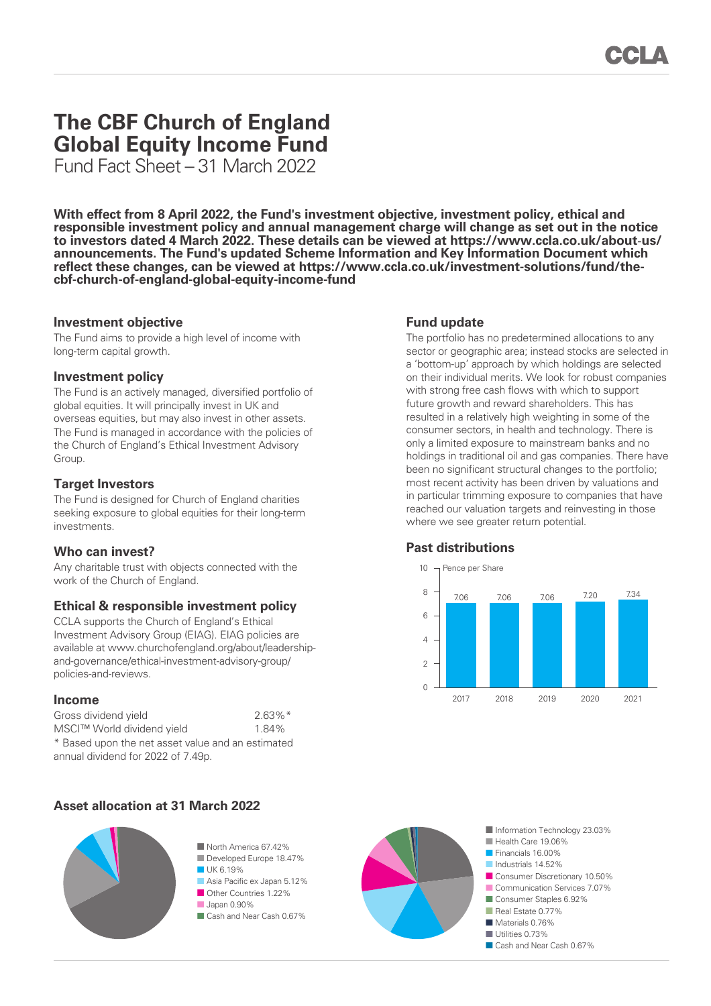# **The CBF Church of England Global Equity Income Fund**

Fund Fact Sheet – 31 March 2022

**With effect from 8 April 2022, the Fund's investment objective, investment policy, ethical and responsible investment policy and annual management charge will change as set out in the notice to investors dated 4 March 2022. These details can be viewed at https://www.ccla.co.uk/about-us/ [announcements. The Fund's updated Scheme Information and Key Information Document which](https://www.ccla.co.uk/about-us/announcements)  reflect these changes, can be viewed at https://www.ccla.co.uk/investment-solutions/fund/thecbf-church-of-england-global-equity-income-fund**

### **Investment objective**

The Fund aims to provide a high level of income with long-term capital growth.

#### **Investment policy**

The Fund is an actively managed, diversified portfolio of global equities. It will principally invest in UK and overseas equities, but may also invest in other assets. The Fund is managed in accordance with the policies of the Church of England's Ethical Investment Advisory Group.

# **Target Investors**

The Fund is designed for Church of England charities seeking exposure to global equities for their long-term investments.

# **Who can invest?**

Any charitable trust with objects connected with the work of the Church of England.

# **Ethical & responsible investment policy**

CCLA supports the Church of England's Ethical Investment Advisory Group (EIAG). EIAG policies are available at www.churchofengland.org/about/leadershipand-governance/ethical-investment-advisory-group/ policies-and-reviews.

#### **Income**

| Gross dividend yield                              | $2.63\%$ <sup>*</sup> |
|---------------------------------------------------|-----------------------|
| MSCI™ World dividend yield                        | 1.84%                 |
| * Based upon the net asset value and an estimated |                       |
| annual dividend for 2022 of 7.49p.                |                       |

# **Asset allocation at 31 March 2022**



#### ■ North America 67 42% ■ Developed Europe 18.47% ■ UK 6.19%

- Asia Pacific ex Japan 5.12%
- Other Countries 1.22%
- Japan 0.90%
- Cash and Near Cash 0.67%



The portfolio has no predetermined allocations to any sector or geographic area; instead stocks are selected in a 'bottom-up' approach by which holdings are selected on their individual merits. We look for robust companies with strong free cash flows with which to support future growth and reward shareholders. This has resulted in a relatively high weighting in some of the consumer sectors, in health and technology. There is only a limited exposure to mainstream banks and no holdings in traditional oil and gas companies. There have been no significant structural changes to the portfolio; most recent activity has been driven by valuations and in particular trimming exposure to companies that have reached our valuation targets and reinvesting in those where we see greater return potential.

# **Past distributions**